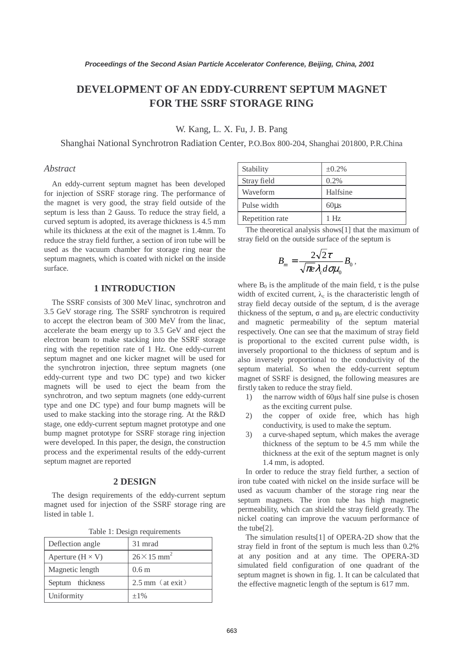# **DEVELOPMENT OF AN EDDY-CURRENT SEPTUM MAGNET FOR THE SSRF STORAGE RING**

W. Kang, L. X. Fu, J. B. Pang

Shanghai National Synchrotron Radiation Center, P.O.Box 800-204, Shanghai 201800, P.R.China

### *Abstract*

An eddy-current septum magnet has been developed for injection of SSRF storage ring. The performance of the magnet is very good, the stray field outside of the septum is less than 2 Gauss. To reduce the stray field, a curved septum is adopted, its average thickness is 4.5 mm while its thickness at the exit of the magnet is 1.4mm. To reduce the stray field further, a section of iron tube will be used as the vacuum chamber for storage ring near the septum magnets, which is coated with nickel on the inside surface.

# **1 INTRODUCTION**

The SSRF consists of 300 MeV linac, synchrotron and 3.5 GeV storage ring. The SSRF synchrotron is required to accept the electron beam of 300 MeV from the linac, accelerate the beam energy up to 3.5 GeV and eject the electron beam to make stacking into the SSRF storage ring with the repetition rate of 1 Hz. One eddy-current septum magnet and one kicker magnet will be used for the synchrotron injection, three septum magnets (one eddy-current type and two DC type) and two kicker magnets will be used to eject the beam from the synchrotron, and two septum magnets (one eddy-current type and one DC type) and four bump magnets will be used to make stacking into the storage ring. At the R&D stage, one eddy-current septum magnet prototype and one bump magnet prototype for SSRF storage ring injection were developed. In this paper, the design, the construction process and the experimental results of the eddy-current septum magnet are reported

# **2 DESIGN**

The design requirements of the eddy-current septum magnet used for injection of the SSRF storage ring are listed in table 1.

| Deflection angle        | 31 mrad                        |  |
|-------------------------|--------------------------------|--|
| Aperture $(H \times V)$ | $26 \times 15$ mm <sup>2</sup> |  |
| Magnetic length         | 0.6 <sub>m</sub>               |  |
| Septum thickness        | $2.5$ mm $(at exit)$           |  |
| Uniformity              | $\pm 1\%$                      |  |

|  |  | Table 1: Design requirements |
|--|--|------------------------------|
|--|--|------------------------------|

| Stability       | $\pm 0.2\%$     |
|-----------------|-----------------|
| Stray field     | 0.2%            |
| Waveform        | Halfsine        |
| Pulse width     | $60\mu s$       |
| Repetition rate | 1H <sub>z</sub> |

The theoretical analysis shows[1] that the maximum of stray field on the outside surface of the septum is

$$
B_m = \frac{2\sqrt{2}\tau}{\sqrt{\pi e} \lambda_c d\sigma \mu_0} B_0,
$$

where  $B_0$  is the amplitude of the main field,  $\tau$  is the pulse width of excited current,  $\lambda_c$  is the characteristic length of stray field decay outside of the septum, d is the average thickness of the septum,  $\sigma$  and  $\mu_0$  are electric conductivity and magnetic permeability of the septum material respectively. One can see that the maximum of stray field is proportional to the excited current pulse width, is inversely proportional to the thickness of septum and is also inversely proportional to the conductivity of the septum material. So when the eddy-current septum magnet of SSRF is designed, the following measures are firstly taken to reduce the stray field.

- 1) the narrow width of 60µs half sine pulse is chosen as the exciting current pulse.
- 2) the copper of oxide free, which has high conductivity, is used to make the septum.
- 3) a curve-shaped septum, which makes the average thickness of the septum to be 4.5 mm while the thickness at the exit of the septum magnet is only 1.4 mm, is adopted.

In order to reduce the stray field further, a section of iron tube coated with nickel on the inside surface will be used as vacuum chamber of the storage ring near the septum magnets. The iron tube has high magnetic permeability, which can shield the stray field greatly. The nickel coating can improve the vacuum performance of the tube[2].

The simulation results[1] of OPERA-2D show that the stray field in front of the septum is much less than 0.2% at any position and at any time. The OPERA-3D simulated field configuration of one quadrant of the septum magnet is shown in fig. 1. It can be calculated that the effective magnetic length of the septum is 617 mm.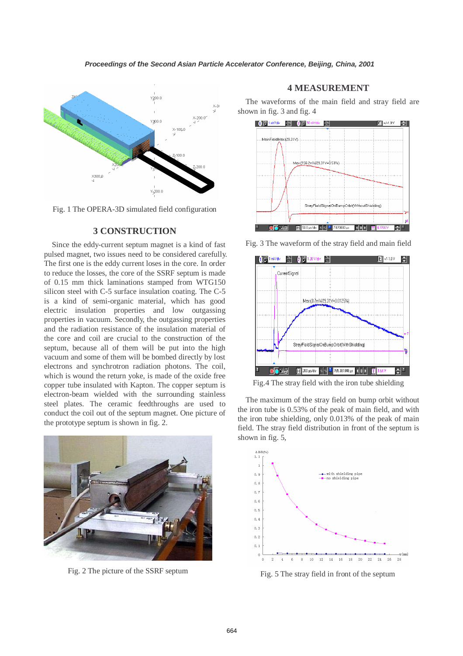

Fig. 1 The OPERA-3D simulated field configuration

# **3 CONSTRUCTION**

Since the eddy-current septum magnet is a kind of fast pulsed magnet, two issues need to be considered carefully. The first one is the eddy current loses in the core. In order to reduce the losses, the core of the SSRF septum is made of 0.15 mm thick laminations stamped from WTG150 silicon steel with C-5 surface insulation coating. The C-5 is a kind of semi-organic material, which has good electric insulation properties and low outgassing properties in vacuum. Secondly, the outgassing properties and the radiation resistance of the insulation material of the core and coil are crucial to the construction of the septum, because all of them will be put into the high vacuum and some of them will be bombed directly by lost electrons and synchrotron radiation photons. The coil, which is wound the return yoke, is made of the oxide free copper tube insulated with Kapton. The copper septum is electron-beam wielded with the surrounding stainless steel plates. The ceramic feedthroughs are used to conduct the coil out of the septum magnet. One picture of the prototype septum is shown in fig. 2.



# **4 MEASUREMENT**

The waveforms of the main field and stray field are shown in fig. 3 and fig. 4



Fig. 3 The waveform of the stray field and main field



Fig.4 The stray field with the iron tube shielding

The maximum of the stray field on bump orbit without the iron tube is 0.53% of the peak of main field, and with the iron tube shielding, only 0.013% of the peak of main field. The stray field distribution in front of the septum is shown in fig. 5,



Fig. 2 The picture of the SSRF septum Fig. 5 The stray field in front of the septum